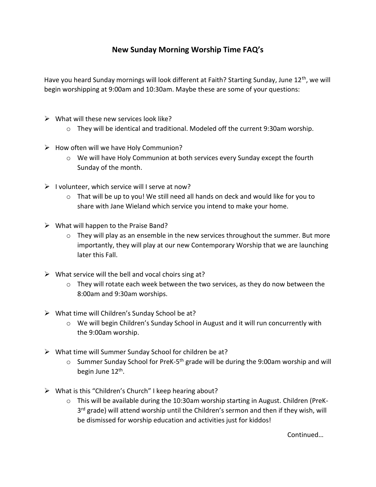## **New Sunday Morning Worship Time FAQ's**

Have you heard Sunday mornings will look different at Faith? Starting Sunday, June 12<sup>th</sup>, we will begin worshipping at 9:00am and 10:30am. Maybe these are some of your questions:

- $\triangleright$  What will these new services look like?
	- o They will be identical and traditional. Modeled off the current 9:30am worship.
- $\triangleright$  How often will we have Holy Communion?
	- $\circ$  We will have Holy Communion at both services every Sunday except the fourth Sunday of the month.
- $\triangleright$  I volunteer, which service will I serve at now?
	- $\circ$  That will be up to you! We still need all hands on deck and would like for you to share with Jane Wieland which service you intend to make your home.
- $\triangleright$  What will happen to the Praise Band?
	- $\circ$  They will play as an ensemble in the new services throughout the summer. But more importantly, they will play at our new Contemporary Worship that we are launching later this Fall.
- $\triangleright$  What service will the bell and vocal choirs sing at?
	- o They will rotate each week between the two services, as they do now between the 8:00am and 9:30am worships.
- $\triangleright$  What time will Children's Sunday School be at?
	- $\circ$  We will begin Children's Sunday School in August and it will run concurrently with the 9:00am worship.
- ➢ What time will Summer Sunday School for children be at?
	- $\circ$  Summer Sunday School for PreK-5<sup>th</sup> grade will be during the 9:00am worship and will begin June 12<sup>th</sup>.
- ➢ What is this "Children's Church" I keep hearing about?
	- $\circ$  This will be available during the 10:30am worship starting in August. Children (PreK-3<sup>rd</sup> grade) will attend worship until the Children's sermon and then if they wish, will be dismissed for worship education and activities just for kiddos!

Continued…